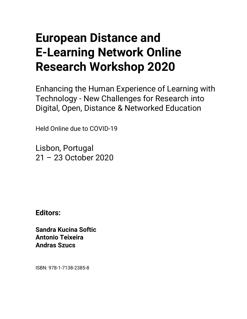## **European Distance and E-Learning Network Online Research Workshop 2020**

Enhancing the Human Experience of Learning with Technology - New Challenges for Research into Digital, Open, Distance & Networked Education

Held Online due to COVID-19

Lisbon, Portugal 21 – 23 October 2020

**Editors:** 

**Sandra Kucina Softic Antonio Teixeira Andras Szucs** 

ISBN: 978-1-7138-2385-8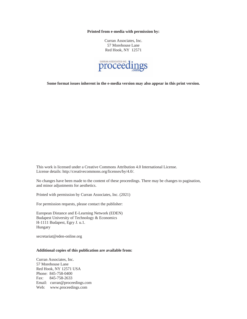**Printed from e-media with permission by:** 

Curran Associates, Inc. 57 Morehouse Lane Red Hook, NY 12571



**Some format issues inherent in the e-media version may also appear in this print version.** 

This work is licensed under a Creative Commons Attribution 4.0 International License. License details: http://creativecommons.org/licenses/by/4.0/.

No changes have been made to the content of these proceedings. There may be changes to pagination, and minor adjustments for aesthetics.

Printed with permission by Curran Associates, Inc. (2021)

For permission requests, please contact the publisher:

European Distance and E-Learning Network (EDEN) Budapest University of Technology & Economics H-1111 Budapest, Egry J. u.1. Hungary

secretariat@eden-online.org

## **Additional copies of this publication are available from:**

Curran Associates, Inc. 57 Morehouse Lane Red Hook, NY 12571 USA Phone: 845-758-0400 Fax: 845-758-2633 Email: curran@proceedings.com Web: www.proceedings.com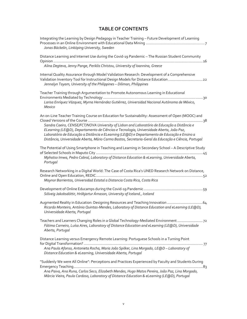## **TABLE OF CONTENTS**

| Integrating the Learning by Design Pedagogy in Teacher Training - Future Development of Learning                                                                                                                                                            |
|-------------------------------------------------------------------------------------------------------------------------------------------------------------------------------------------------------------------------------------------------------------|
| Jonas Bäckelin, Linköping University, Sweden                                                                                                                                                                                                                |
| Distance Learning and Internet Use during the Covid-19 Pandemic - The Russian Student Community                                                                                                                                                             |
| Alina Degteva, Jenny Pange, Periklis Christou, University of Ioannina, Greece                                                                                                                                                                               |
| Internal Quality Assurance through Model Validation Research: Development of a Comprehensive<br>Validation Inventory Tool for Instructional Design Models for Distance Education 22<br>Jennalyn Tayam, University of the Philippines - Diliman, Philippines |
| Teacher Training through Argumentation to Promote Autonomous Learning in Educational                                                                                                                                                                        |
| Larisa Enríquez Vázquez, Myrna Hernández Gutiérrez, Universidad Nacional Autónoma de México,<br><b>Mexico</b>                                                                                                                                               |
| An on-Line Teacher Training Course on Education for Sustainability: Assessment of Open (MOOC) and                                                                                                                                                           |
| Sandra Caeiro, CENSE/FCT/NOVA University of Lisbon and Laboratório de Educação a Distância e<br>ELearning (LE@D), Departamento de Ciências e Tecnologia, Universidade Aberta, João Paz,                                                                     |
| Laboratório de Educação a Distância e ELearning (LE@D) e Departamento de Educação e Ensino a<br>Distância, Universidade Aberta, Mário Carmo Bastos, Secretaria-Geral da Educação e Ciência, Portugal                                                        |
| The Potential of Using Smartphone in Teaching and Learning in Secondary School - A Descriptive Study<br>Mphatso Imwa, Pedro Cabral, Laboratory of Distance Education & eLearning, Universidade Aberta,<br>Portugal                                          |
| Research Networking in a Digital World: The Case of Costa Rica's UNED Research Network on Distance,                                                                                                                                                         |
| Maynor Barrientos, Universidad Estatal a Distancia Costa Rica, Costa Rica                                                                                                                                                                                   |
| Sólveig Jakobsdóttir, Hróbjartur Árnason, University of Iceland., Iceland                                                                                                                                                                                   |
| Augmented Reality in Education: Designing Resources and Teaching Innovation 64<br>Ricardo Monteiro, António Quintas-Mendes, Laboratory of Distance Education and eLearning (LE@D),<br>Universidade Aberta, Portugal                                         |
| Teachers and Learners Changing Roles in a Global Technology-Mediated Environment  72<br>Fátima Carneiro, Luísa Aires, Laboratory of Distance Education and eLearning (LE@D), Universidade<br>Aberta, Portugal                                               |
| Distance Learning versus Emergency Remote Learning: Portuguese Schools in a Turning Point                                                                                                                                                                   |
| Ana Paula Afonso, Antonieta Rocha, Maria João Spilker, Lina Morgado, LE@D - Laboratory of<br>Distance Education & eLearning, Universidade Aberta, Portugal                                                                                                  |
| "Suddenly We were All Online": Perceptions and Practices Experienced by Faculty and Students During                                                                                                                                                         |
| Ana Paiva, Ana Runa, Carlos Seco, Elizabeth Mendes, Hugo Matos Pereira, João Paz, Lina Morgado,<br>Márcia Vieira, Paula Cardoso, Laboratory of Distance Education & eLearning (LE@D), Portugal                                                              |